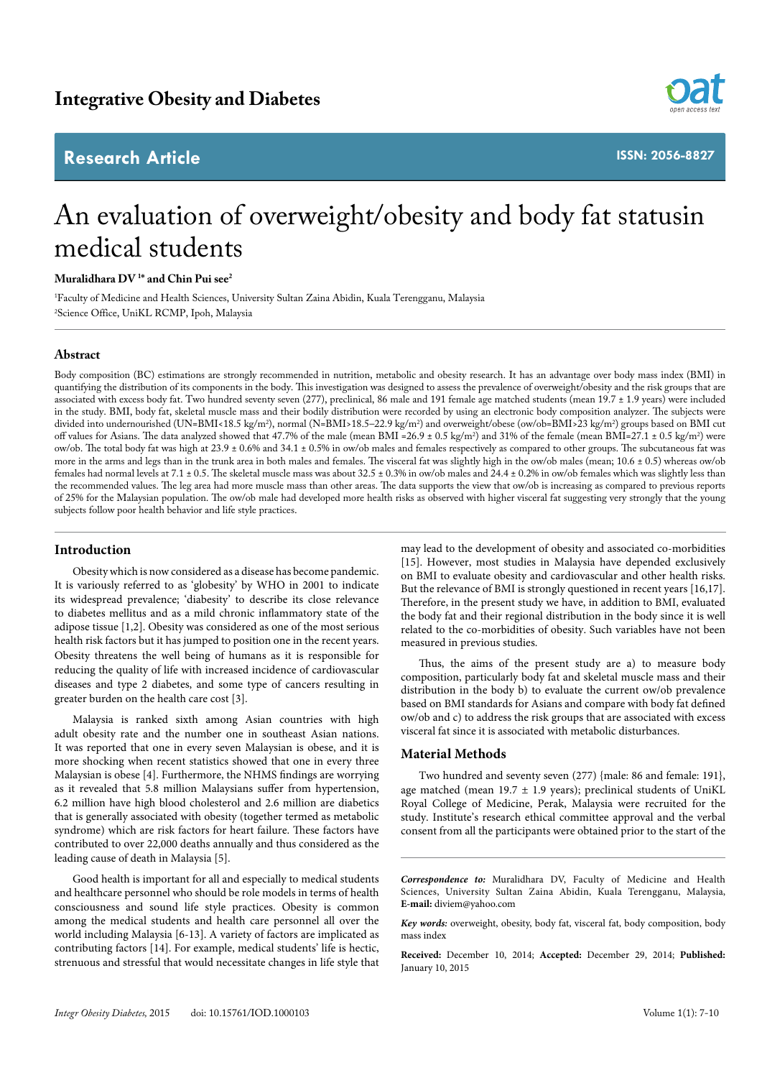## **Research Article**



**ISSN: 2056-8827**

# An evaluation of overweight/obesity and body fat statusin medical students

**Muralidhara DV 1 \* and Chin Pui see2**

1 Faculty of Medicine and Health Sciences, University Sultan Zaina Abidin, Kuala Terengganu, Malaysia 2 Science Office, UniKL RCMP, Ipoh, Malaysia

### **Abstract**

Body composition (BC) estimations are strongly recommended in nutrition, metabolic and obesity research. It has an advantage over body mass index (BMI) in quantifying the distribution of its components in the body. This investigation was designed to assess the prevalence of overweight/obesity and the risk groups that are associated with excess body fat. Two hundred seventy seven (277), preclinical, 86 male and 191 female age matched students (mean 19.7 ± 1.9 years) were included in the study. BMI, body fat, skeletal muscle mass and their bodily distribution were recorded by using an electronic body composition analyzer. The subjects were divided into undernourished (UN=BMI<18.5 kg/m2 ), normal (N=BMI>18.5–22.9 kg/m2 ) and overweight/obese (ow/ob=BMI>23 kg/m2 ) groups based on BMI cut off values for Asians. The data analyzed showed that 47.7% of the male (mean BMI =26.9 ± 0.5 kg/m<sup>2</sup>) and 31% of the female (mean BMI=27.1 ± 0.5 kg/m<sup>2</sup>) were ow/ob. The total body fat was high at 23.9 ± 0.6% and 34.1 ± 0.5% in ow/ob males and females respectively as compared to other groups. The subcutaneous fat was more in the arms and legs than in the trunk area in both males and females. The visceral fat was slightly high in the ow/ob males (mean; 10.6 ± 0.5) whereas ow/ob females had normal levels at 7.1  $\pm$  0.5. The skeletal muscle mass was about 32.5  $\pm$  0.3% in ow/ob males and 24.4  $\pm$  0.2% in ow/ob females which was slightly less than the recommended values. The leg area had more muscle mass than other areas. The data supports the view that ow/ob is increasing as compared to previous reports of 25% for the Malaysian population. The ow/ob male had developed more health risks as observed with higher visceral fat suggesting very strongly that the young subjects follow poor health behavior and life style practices.

#### **Introduction**

Obesity which is now considered as a disease has become pandemic. It is variously referred to as 'globesity' by WHO in 2001 to indicate its widespread prevalence; 'diabesity' to describe its close relevance to diabetes mellitus and as a mild chronic inflammatory state of the adipose tissue [1,2]. Obesity was considered as one of the most serious health risk factors but it has jumped to position one in the recent years. Obesity threatens the well being of humans as it is responsible for reducing the quality of life with increased incidence of cardiovascular diseases and type 2 diabetes, and some type of cancers resulting in greater burden on the health care cost [3].

Malaysia is ranked sixth among Asian countries with high adult obesity rate and the number one in southeast Asian nations. It was reported that one in every seven Malaysian is obese, and it is more shocking when recent statistics showed that one in every three Malaysian is obese [4]. Furthermore, the NHMS findings are worrying as it revealed that 5.8 million Malaysians suffer from hypertension, 6.2 million have high blood cholesterol and 2.6 million are diabetics that is generally associated with obesity (together termed as metabolic syndrome) which are risk factors for heart failure. These factors have contributed to over 22,000 deaths annually and thus considered as the leading cause of death in Malaysia [5].

Good health is important for all and especially to medical students and healthcare personnel who should be role models in terms of health consciousness and sound life style practices. Obesity is common among the medical students and health care personnel all over the world including Malaysia [6-13]. A variety of factors are implicated as contributing factors [14]. For example, medical students' life is hectic, strenuous and stressful that would necessitate changes in life style that may lead to the development of obesity and associated co-morbidities [15]. However, most studies in Malaysia have depended exclusively on BMI to evaluate obesity and cardiovascular and other health risks. But the relevance of BMI is strongly questioned in recent years [16,17]. Therefore, in the present study we have, in addition to BMI, evaluated the body fat and their regional distribution in the body since it is well related to the co-morbidities of obesity. Such variables have not been measured in previous studies.

Thus, the aims of the present study are a) to measure body composition, particularly body fat and skeletal muscle mass and their distribution in the body b) to evaluate the current ow/ob prevalence based on BMI standards for Asians and compare with body fat defined ow/ob and c) to address the risk groups that are associated with excess visceral fat since it is associated with metabolic disturbances.

#### **Material Methods**

Two hundred and seventy seven (277) {male: 86 and female: 191}, age matched (mean  $19.7 \pm 1.9$  years); preclinical students of UniKL Royal College of Medicine, Perak, Malaysia were recruited for the study. Institute's research ethical committee approval and the verbal consent from all the participants were obtained prior to the start of the

*Correspondence to:* Muralidhara DV, Faculty of Medicine and Health Sciences, University Sultan Zaina Abidin, Kuala Terengganu, Malaysia, **E-mail:** diviem@yahoo.com

*Key words:* overweight, obesity, body fat, visceral fat, body composition, body mass index

**Received:** December 10, 2014; **Accepted:** December 29, 2014; **Published:**  January 10, 2015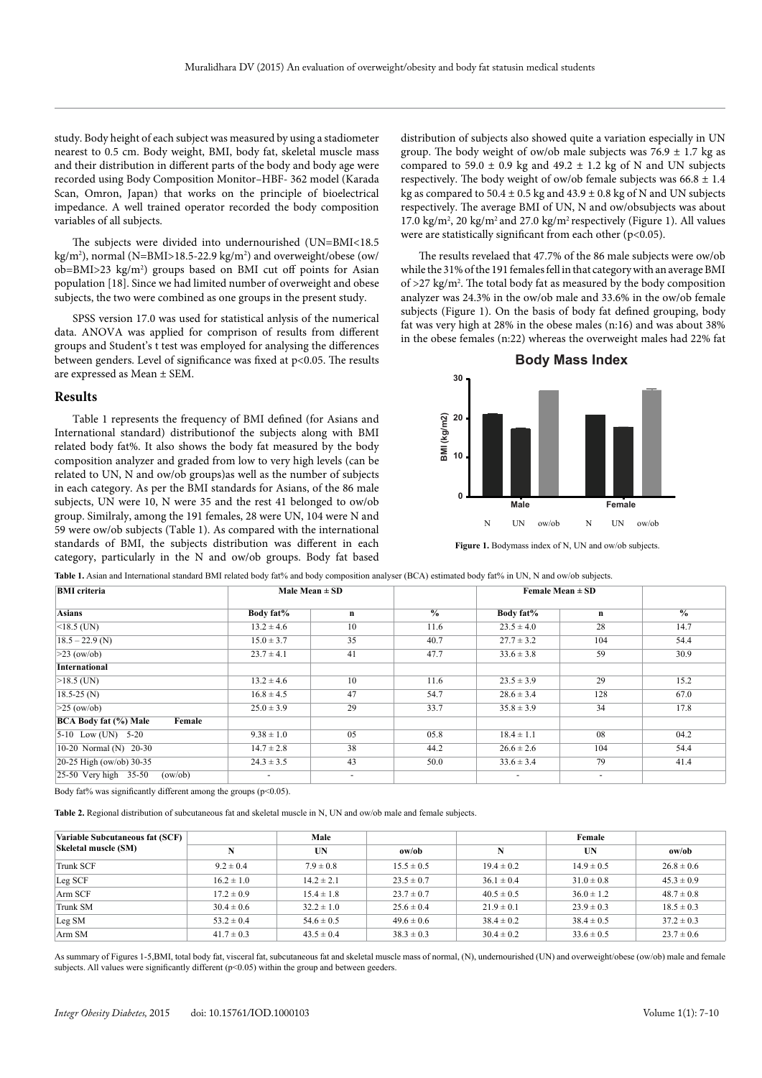study. Body height of each subject was measured by using a stadiometer nearest to 0.5 cm. Body weight, BMI, body fat, skeletal muscle mass and their distribution in different parts of the body and body age were recorded using Body Composition Monitor–HBF- 362 model (Karada Scan, Omron, Japan) that works on the principle of bioelectrical impedance. A well trained operator recorded the body composition variables of all subjects.

The subjects were divided into undernourished (UN=BMI<18.5 kg/m²), normal (N=BMI>18.5-22.9 kg/m²) and overweight/obese (ow/ ob=BMI>23 kg/m<sup>2</sup>) groups based on BMI cut off points for Asian population [18]. Since we had limited number of overweight and obese subjects, the two were combined as one groups in the present study.

SPSS version 17.0 was used for statistical anlysis of the numerical data. ANOVA was applied for comprison of results from different groups and Student's t test was employed for analysing the differences between genders. Level of significance was fixed at p<0.05. The results are expressed as Mean ± SEM.

#### **Results**

Table 1 represents the frequency of BMI defined (for Asians and International standard) distributionof the subjects along with BMI related body fat%. It also shows the body fat measured by the body composition analyzer and graded from low to very high levels (can be related to UN, N and ow/ob groups)as well as the number of subjects in each category. As per the BMI standards for Asians, of the 86 male subjects, UN were 10, N were 35 and the rest 41 belonged to ow/ob group. Similraly, among the 191 females, 28 were UN, 104 were N and 59 were ow/ob subjects (Table 1). As compared with the international standards of BMI, the subjects distribution was different in each category, particularly in the N and ow/ob groups. Body fat based

distribution of subjects also showed quite a variation especially in UN group. The body weight of ow/ob male subjects was  $76.9 \pm 1.7$  kg as compared to 59.0  $\pm$  0.9 kg and 49.2  $\pm$  1.2 kg of N and UN subjects respectively. The body weight of ow/ob female subjects was  $66.8 \pm 1.4$ kg as compared to  $50.4 \pm 0.5$  kg and  $43.9 \pm 0.8$  kg of N and UN subjects respectively. The average BMI of UN, N and ow/obsubjects was about 17.0 kg/m<sup>2</sup>, 20 kg/m<sup>2</sup> and 27.0 kg/m<sup>2</sup> respectively (Figure 1). All values were are statistically significant from each other (p<0.05).

The results revelaed that 47.7% of the 86 male subjects were ow/ob while the 31% of the 191 females fell in that category with an average BMI of >27 kg/m2 . The total body fat as measured by the body composition analyzer was 24.3% in the ow/ob male and 33.6% in the ow/ob female subjects (Figure 1). On the basis of body fat defined grouping, body fat was very high at 28% in the obese males (n:16) and was about 38% in the obese females (n:22) whereas the overweight males had 22% fat



**Figure 1.** Bodymass index of N, UN and ow/ob subjects.

| <b>BMI</b> criteria                    | Male Mean $\pm$ SD |             |               | Female Mean $\pm$ SD     |             |               |
|----------------------------------------|--------------------|-------------|---------------|--------------------------|-------------|---------------|
| Asians                                 | Body fat%          | $\mathbf n$ | $\frac{0}{0}$ | Body fat%                | $\mathbf n$ | $\frac{0}{0}$ |
| $ $ <18.5 (UN)                         | $13.2 \pm 4.6$     | 10          | 11.6          | $23.5 \pm 4.0$           | 28          | 14.7          |
| $18.5 - 22.9$ (N)                      | $15.0 \pm 3.7$     | 35          | 40.7          | $27.7 \pm 3.2$           | 104         | 54.4          |
| $>23$ (ow/ob)                          | $23.7 \pm 4.1$     | 41          | 47.7          | $33.6 \pm 3.8$           | 59          | 30.9          |
| <b>International</b>                   |                    |             |               |                          |             |               |
| $>18.5$ (UN)                           | $13.2 \pm 4.6$     | 10          | 11.6          | $23.5 \pm 3.9$           | 29          | 15.2          |
| $18.5 - 25$ (N)                        | $16.8 \pm 4.5$     | 47          | 54.7          | $28.6 \pm 3.4$           | 128         | 67.0          |
| $>25$ (ow/ob)                          | $25.0 \pm 3.9$     | 29          | 33.7          | $35.8 \pm 3.9$           | 34          | 17.8          |
| <b>BCA Body fat (%) Male</b><br>Female |                    |             |               |                          |             |               |
| $ 5-10$ Low (UN) $5-20$                | $9.38 \pm 1.0$     | 05          | 05.8          | $18.4 \pm 1.1$           | 08          | 04.2          |
| 10-20 Normal (N) 20-30                 | $14.7 \pm 2.8$     | 38          | 44.2          | $26.6 \pm 2.6$           | 104         | 54.4          |
| $ 20-25 \text{ High (ow/ob)} 30-35$    | $24.3 \pm 3.5$     | 43          | 50.0          | $33.6 \pm 3.4$           | 79          | 41.4          |
| 25-50 Very high 35-50<br>(ow/ob)       | $\sim$             | ٠           |               | $\overline{\phantom{a}}$ | ۰           |               |

Table 1. Asian and International standard BMI related body fat% and body composition analyser (BCA) estimated body fat% in UN, N and ow/ob subjects.

Body fat% was significantly different among the groups  $(p<0.05)$ .

**Table 2.** Regional distribution of subcutaneous fat and skeletal muscle in N, UN and ow/ob male and female subjects.

| Variable Subcutaneous fat (SCF)<br>Skeletal muscle (SM) |                | Male           |                |                | Female         |                |
|---------------------------------------------------------|----------------|----------------|----------------|----------------|----------------|----------------|
|                                                         |                | UN             | ow/ob          | N              | UN             | ow/ob          |
| <b>Trunk SCF</b>                                        | $9.2 \pm 0.4$  | $7.9 \pm 0.8$  | $15.5 \pm 0.5$ | $19.4 \pm 0.2$ | $14.9 \pm 0.5$ | $26.8 \pm 0.6$ |
| Leg SCF                                                 | $16.2 \pm 1.0$ | $14.2 \pm 2.1$ | $23.5 \pm 0.7$ | $36.1 \pm 0.4$ | $31.0 \pm 0.8$ | $45.3 \pm 0.9$ |
| Arm SCF                                                 | $17.2 \pm 0.9$ | $15.4 \pm 1.8$ | $23.7 \pm 0.7$ | $40.5 \pm 0.5$ | $36.0 \pm 1.2$ | $48.7 \pm 0.8$ |
| Trunk SM                                                | $30.4 \pm 0.6$ | $32.2 \pm 1.0$ | $25.6 \pm 0.4$ | $21.9 \pm 0.1$ | $23.9 \pm 0.3$ | $18.5 \pm 0.3$ |
| Leg SM                                                  | $53.2 \pm 0.4$ | $54.6 \pm 0.5$ | $49.6 \pm 0.6$ | $38.4 \pm 0.2$ | $38.4 \pm 0.5$ | $37.2 \pm 0.3$ |
| Arm SM                                                  | $41.7 \pm 0.3$ | $43.5 \pm 0.4$ | $38.3 \pm 0.3$ | $30.4 \pm 0.2$ | $33.6 \pm 0.5$ | $23.7 \pm 0.6$ |

As summary of Figures 1-5,BMI, total body fat, visceral fat, subcutaneous fat and skeletal muscle mass of normal, (N), undernourished (UN) and overweight/obese (ow/ob) male and female subjects. All values were significantly different  $(p<0.05)$  within the group and between geeders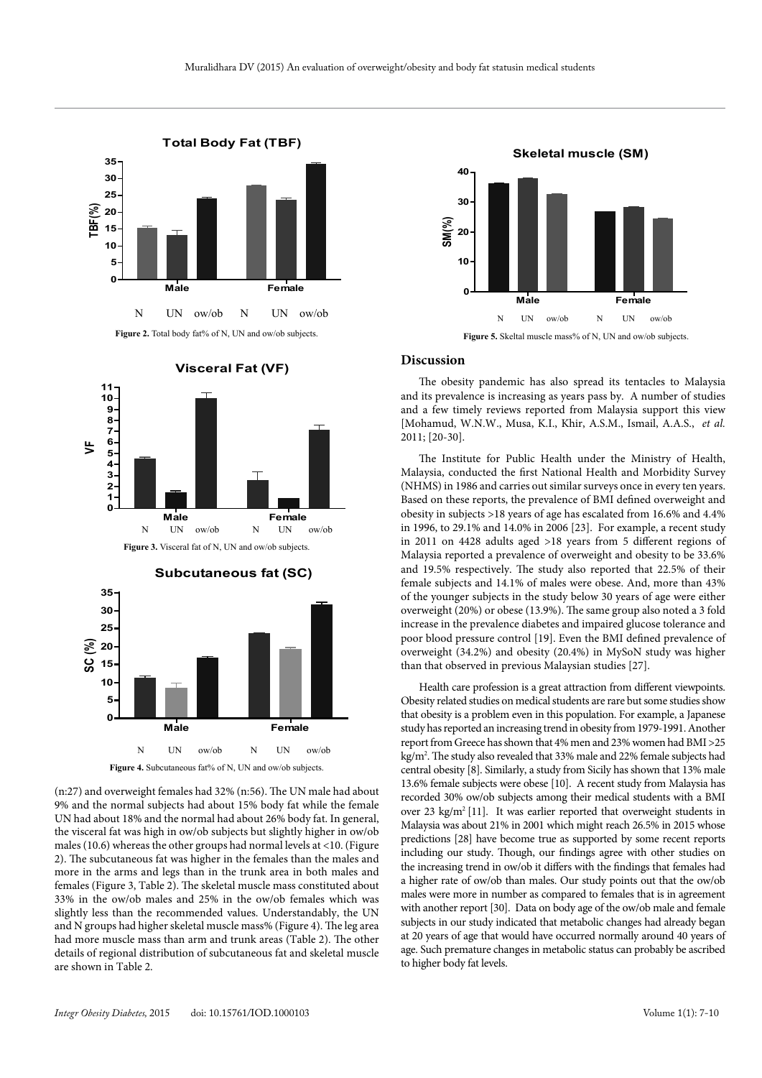







(n:27) and overweight females had 32% (n:56). The UN male had about 9% and the normal subjects had about 15% body fat while the female UN had about 18% and the normal had about 26% body fat. In general, the visceral fat was high in ow/ob subjects but slightly higher in ow/ob males (10.6) whereas the other groups had normal levels at <10. (Figure 2). The subcutaneous fat was higher in the females than the males and more in the arms and legs than in the trunk area in both males and females (Figure 3, Table 2). The skeletal muscle mass constituted about 33% in the ow/ob males and 25% in the ow/ob females which was slightly less than the recommended values. Understandably, the UN and N groups had higher skeletal muscle mass% (Figure 4). The leg area had more muscle mass than arm and trunk areas (Table 2). The other details of regional distribution of subcutaneous fat and skeletal muscle are shown in Table 2.



#### **Discussion**

The obesity pandemic has also spread its tentacles to Malaysia and its prevalence is increasing as years pass by. A number of studies and a few timely reviews reported from Malaysia support this view [Mohamud, W.N.W., Musa, K.I., Khir, A.S.M., Ismail, A.A.S., *et al.* 2011; [20-30].

The Institute for Public Health under the Ministry of Health, Malaysia, conducted the first National Health and Morbidity Survey (NHMS) in 1986 and carries out similar surveys once in every ten years. Based on these reports, the prevalence of BMI defined overweight and obesity in subjects >18 years of age has escalated from 16.6% and 4.4% in 1996, to 29.1% and 14.0% in 2006 [23]. For example, a recent study in 2011 on 4428 adults aged >18 years from 5 different regions of Malaysia reported a prevalence of overweight and obesity to be 33.6% and 19.5% respectively. The study also reported that 22.5% of their female subjects and 14.1% of males were obese. And, more than 43% of the younger subjects in the study below 30 years of age were either overweight (20%) or obese (13.9%). The same group also noted a 3 fold increase in the prevalence diabetes and impaired glucose tolerance and poor blood pressure control [19]. Even the BMI defined prevalence of overweight (34.2%) and obesity (20.4%) in MySoN study was higher than that observed in previous Malaysian studies [27].

Health care profession is a great attraction from different viewpoints. Obesity related studies on medical students are rare but some studies show that obesity is a problem even in this population. For example, a Japanese study has reported an increasing trend in obesity from 1979-1991. Another report from Greece has shown that 4% men and 23% women had BMI >25 kg/m2 . The study also revealed that 33% male and 22% female subjects had central obesity [8]. Similarly, a study from Sicily has shown that 13% male 13.6% female subjects were obese [10]. A recent study from Malaysia has recorded 30% ow/ob subjects among their medical students with a BMI over 23 kg/m<sup>2</sup> [11]. It was earlier reported that overweight students in Malaysia was about 21% in 2001 which might reach 26.5% in 2015 whose predictions [28] have become true as supported by some recent reports including our study. Though, our findings agree with other studies on the increasing trend in ow/ob it differs with the findings that females had a higher rate of ow/ob than males. Our study points out that the ow/ob males were more in number as compared to females that is in agreement with another report [30]. Data on body age of the ow/ob male and female subjects in our study indicated that metabolic changes had already began at 20 years of age that would have occurred normally around 40 years of age. Such premature changes in metabolic status can probably be ascribed to higher body fat levels.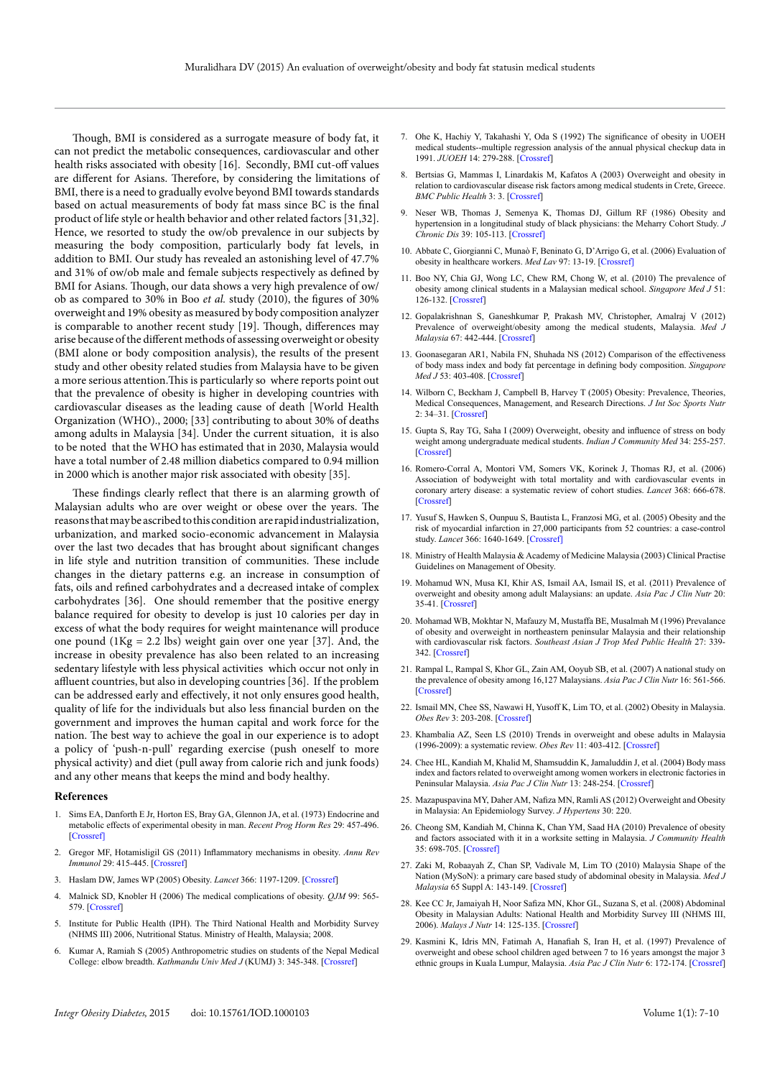Though, BMI is considered as a surrogate measure of body fat, it can not predict the metabolic consequences, cardiovascular and other health risks associated with obesity [16]. Secondly, BMI cut-off values are different for Asians. Therefore, by considering the limitations of BMI, there is a need to gradually evolve beyond BMI towards standards based on actual measurements of body fat mass since BC is the final product of life style or health behavior and other related factors [31,32]. Hence, we resorted to study the ow/ob prevalence in our subjects by measuring the body composition, particularly body fat levels, in addition to BMI. Our study has revealed an astonishing level of 47.7% and 31% of ow/ob male and female subjects respectively as defined by BMI for Asians. Though, our data shows a very high prevalence of ow/ ob as compared to 30% in Boo *et al.* study (2010), the figures of 30% overweight and 19% obesity as measured by body composition analyzer is comparable to another recent study [19]. Though, differences may arise because of the different methods of assessing overweight or obesity (BMI alone or body composition analysis), the results of the present study and other obesity related studies from Malaysia have to be given a more serious attention.This is particularly so where reports point out that the prevalence of obesity is higher in developing countries with cardiovascular diseases as the leading cause of death [World Health Organization (WHO)., 2000; [33] contributing to about 30% of deaths among adults in Malaysia [34]. Under the current situation, it is also to be noted that the WHO has estimated that in 2030, Malaysia would have a total number of 2.48 million diabetics compared to 0.94 million in 2000 which is another major risk associated with obesity [35].

These findings clearly reflect that there is an alarming growth of Malaysian adults who are over weight or obese over the years. The reasons that may be ascribed to this condition are rapid industrialization, urbanization, and marked socio-economic advancement in Malaysia over the last two decades that has brought about significant changes in life style and nutrition transition of communities. These include changes in the dietary patterns e.g. an increase in consumption of fats, oils and refined carbohydrates and a decreased intake of complex carbohydrates [36]. One should remember that the positive energy balance required for obesity to develop is just 10 calories per day in excess of what the body requires for weight maintenance will produce one pound  $(1Kg = 2.2 \text{ lbs})$  weight gain over one year [37]. And, the increase in obesity prevalence has also been related to an increasing sedentary lifestyle with less physical activities which occur not only in affluent countries, but also in developing countries [36]. If the problem can be addressed early and effectively, it not only ensures good health, quality of life for the individuals but also less financial burden on the government and improves the human capital and work force for the nation. The best way to achieve the goal in our experience is to adopt a policy of 'push-n-pull' regarding exercise (push oneself to more physical activity) and diet (pull away from calorie rich and junk foods) and any other means that keeps the mind and body healthy.

#### **References**

- 1. Sims EA, Danforth E Jr, Horton ES, Bray GA, Glennon JA, et al. (1973) Endocrine and metabolic effects of experimental obesity in man. *Recent Prog Horm Res* 29: 457-496. [[Crossref\]](http://www.ncbi.nlm.nih.gov/pubmed/4750591)
- 2. Gregor MF, Hotamisligil GS (2011) Inflammatory mechanisms in obesity. *Annu Rev Immunol* 29: 415-445. [[Crossref](http://www.ncbi.nlm.nih.gov/pubmed/21219177)]
- 3. Haslam DW, James WP (2005) Obesity. *Lancet* 366: 1197-1209. [[Crossref](http://www.ncbi.nlm.nih.gov/pubmed/16198769)]
- 4. Malnick SD, Knobler H (2006) The medical complications of obesity. *QJM* 99: 565- 579. [[Crossref\]](http://www.ncbi.nlm.nih.gov/pubmed/16916862)
- 5. Institute for Public Health (IPH). The Third National Health and Morbidity Survey (NHMS III) 2006, Nutritional Status. Ministry of Health, Malaysia; 2008.
- 6. Kumar A, Ramiah S (2005) Anthropometric studies on students of the Nepal Medical College: elbow breadth. *Kathmandu Univ Med J* (KUMJ) 3: 345-348. [\[Crossref](http://www.ncbi.nlm.nih.gov/pubmed/16449833)]
- 7. Ohe K, Hachiy Y, Takahashi Y, Oda S (1992) The significance of obesity in UOEH medical students--multiple regression analysis of the annual physical checkup data in 1991. *JUOEH* 14: 279-288. [[Crossref\]](http://www.ncbi.nlm.nih.gov/pubmed/1470777)
- 8. Bertsias G, Mammas I, Linardakis M, Kafatos A (2003) Overweight and obesity in relation to cardiovascular disease risk factors among medical students in Crete, Greece. *BMC Public Health* 3: 3. [[Crossref](http://www.ncbi.nlm.nih.gov/pubmed/12517305)]
- 9. Neser WB, Thomas J, Semenya K, Thomas DJ, Gillum RF (1986) Obesity and hypertension in a longitudinal study of black physicians: the Meharry Cohort Study. *J Chronic Dis* 39: 105-113. [[Crossref\]](http://www.ncbi.nlm.nih.gov/pubmed/3944222)
- 10. Abbate C, Giorgianni C, Munaò F, Beninato G, D'Arrigo G, et al. (2006) Evaluation of obesity in healthcare workers. *Med Lav* 97: 13-19. [[Crossref\]](http://www.ncbi.nlm.nih.gov/pubmed/17009666)
- 11. Boo NY, Chia GJ, Wong LC, Chew RM, Chong W, et al. (2010) The prevalence of obesity among clinical students in a Malaysian medical school. *Singapore Med J* 51: 126-132. [[Crossref](http://www.ncbi.nlm.nih.gov/pubmed/20358151)]
- 12. Gopalakrishnan S, Ganeshkumar P, Prakash MV, Christopher, Amalraj V (2012) Prevalence of overweight/obesity among the medical students, Malaysia. *Med J Malaysia* 67: 442-444. [[Crossref\]](http://www.ncbi.nlm.nih.gov/pubmed/23082463)
- 13. Goonasegaran AR1, Nabila FN, Shuhada NS (2012) Comparison of the effectiveness of body mass index and body fat percentage in defining body composition. *Singapore Med J* 53: 403-408. [[Crossref](http://www.ncbi.nlm.nih.gov/pubmed/22711041)]
- 14. Wilborn C, Beckham J, Campbell B, Harvey T (2005) Obesity: Prevalence, Theories, Medical Consequences, Management, and Research Directions. *J Int Soc Sports Nutr* 2: 34–31. [[Crossref\]](http://www.ncbi.nlm.nih.gov/pmc/articles/PMC2129146/)
- 15. Gupta S, Ray TG, Saha I (2009) Overweight, obesity and influence of stress on body weight among undergraduate medical students. *Indian J Community Med* 34: 255-257. [[Crossref\]](http://www.ncbi.nlm.nih.gov/pubmed/20049308)
- 16. Romero-Corral A, Montori VM, Somers VK, Korinek J, Thomas RJ, et al. (2006) Association of bodyweight with total mortality and with cardiovascular events in coronary artery disease: a systematic review of cohort studies. *Lancet* 368: 666-678. [[Crossref\]](http://www.ncbi.nlm.nih.gov/pubmed/16920472)
- 17. Yusuf S, Hawken S, Ounpuu S, Bautista L, Franzosi MG, et al. (2005) Obesity and the risk of myocardial infarction in 27,000 participants from 52 countries: a case-control study. *Lancet* 366: 1640-1649. [[Crossref\]](http://www.ncbi.nlm.nih.gov/pubmed/16271645)
- 18. Ministry of Health Malaysia & Academy of Medicine Malaysia (2003) Clinical Practise Guidelines on Management of Obesity.
- 19. Mohamud WN, Musa KI, Khir AS, Ismail AA, Ismail IS, et al. (2011) Prevalence of overweight and obesity among adult Malaysians: an update. *Asia Pac J Clin Nutr* 20: 35-41. [[Crossref](http://www.ncbi.nlm.nih.gov/pubmed/21393108)]
- 20. Mohamad WB, Mokhtar N, Mafauzy M, Mustaffa BE, Musalmah M (1996) Prevalance of obesity and overweight in northeastern peninsular Malaysia and their relationship with cardiovascular risk factors. *Southeast Asian J Trop Med Public Health* 27: 339- 342. [[Crossref\]](http://www.ncbi.nlm.nih.gov/pubmed/9279999)
- 21. Rampal L, Rampal S, Khor GL, Zain AM, Ooyub SB, et al. (2007) A national study on the prevalence of obesity among 16,127 Malaysians. *Asia Pac J Clin Nutr* 16: 561-566. [[Crossref\]](http://www.ncbi.nlm.nih.gov/pubmed/17704038)
- 22. Ismail MN, Chee SS, Nawawi H, Yusoff K, Lim TO, et al. (2002) Obesity in Malaysia. *Obes Rev* 3: 203-208. [[Crossref](http://www.ncbi.nlm.nih.gov/pubmed/12164473)]
- 23. Khambalia AZ, Seen LS (2010) Trends in overweight and obese adults in Malaysia (1996-2009): a systematic review. *Obes Rev* 11: 403-412. [[Crossref](http://www.ncbi.nlm.nih.gov/pubmed/20233309)]
- 24. Chee HL, Kandiah M, Khalid M, Shamsuddin K, Jamaluddin J, et al. (2004) Body mass index and factors related to overweight among women workers in electronic factories in Peninsular Malaysia. *Asia Pac J Clin Nutr* 13: 248-254. [[Crossref\]](http://www.ncbi.nlm.nih.gov/pubmed/15331336)
- 25. Mazapuspavina MY, Daher AM, Nafiza MN, Ramli AS (2012) Overweight and Obesity in Malaysia: An Epidemiology Survey. *J Hypertens* 30: 220.
- 26. Cheong SM, Kandiah M, Chinna K, Chan YM, Saad HA (2010) Prevalence of obesity and factors associated with it in a worksite setting in Malaysia. *J Community Health*  35: 698-705. [[Crossref\]](http://www.ncbi.nlm.nih.gov/pubmed/20458526)
- 27. Zaki M, Robaayah Z, Chan SP, Vadivale M, Lim TO (2010) Malaysia Shape of the Nation (MySoN): a primary care based study of abdominal obesity in Malaysia. *Med J Malaysia* 65 Suppl A: 143-149. [[Crossref](http://www.ncbi.nlm.nih.gov/pubmed/21488476)]
- 28. Kee CC Jr, Jamaiyah H, Noor Safiza MN, Khor GL, Suzana S, et al. (2008) Abdominal Obesity in Malaysian Adults: National Health and Morbidity Survey III (NHMS III, 2006). *Malays J Nutr* 14: 125-135. [[Crossref\]](http://www.ncbi.nlm.nih.gov/pubmed/22691770)
- 29. Kasmini K, Idris MN, Fatimah A, Hanafiah S, Iran H, et al. (1997) Prevalence of overweight and obese school children aged between 7 to 16 years amongst the major 3 ethnic groups in Kuala Lumpur, Malaysia. *Asia Pac J Clin Nutr* 6: 172-174. [[Crossref\]](http://www.ncbi.nlm.nih.gov/pubmed/24394759)